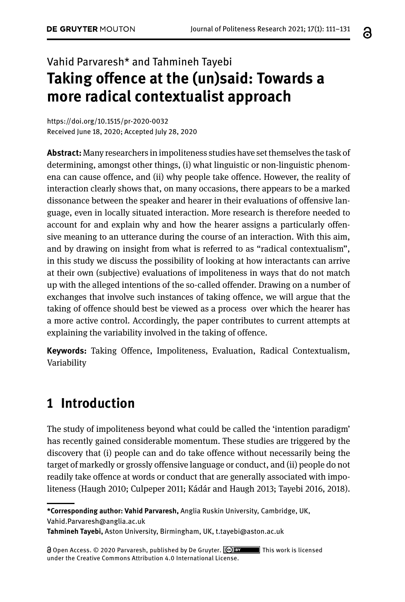# Vahid Parvaresh\* and Tahmineh Tayebi **Taking offence at the (un)said: Towards a more radical contextualist approach**

<https://doi.org/10.1515/pr-2020-0032> Received June 18, 2020; Accepted July 28, 2020

**Abstract:** Many researchers in impoliteness studies have set themselves the task of determining, amongst other things, (i) what linguistic or non-linguistic phenomena can cause offence, and (ii) why people take offence. However, the reality of interaction clearly shows that, on many occasions, there appears to be a marked dissonance between the speaker and hearer in their evaluations of offensive language, even in locally situated interaction. More research is therefore needed to account for and explain why and how the hearer assigns a particularly offensive meaning to an utterance during the course of an interaction. With this aim, and by drawing on insight from what is referred to as "radical contextualism", in this study we discuss the possibility of looking at how interactants can arrive at their own (subjective) evaluations of impoliteness in ways that do not match up with the alleged intentions of the so-called offender. Drawing on a number of exchanges that involve such instances of taking offence, we will argue that the taking of offence should best be viewed as a process over which the hearer has a more active control. Accordingly, the paper contributes to current attempts at explaining the variability involved in the taking of offence.

**Keywords:** Taking Offence, Impoliteness, Evaluation, Radical Contextualism, Variability

# **1 Introduction**

The study of impoliteness beyond what could be called the 'intention paradigm' has recently gained considerable momentum. These studies are triggered by the discovery that (i) people can and do take offence without necessarily being the target of markedly or grossly offensive language or conduct, and (ii) people do not readily take offence at words or conduct that are generally associated with impoliteness (Haugh 2010; Culpeper 2011; Kádár and Haugh 2013; Tayebi 2016, 2018).

 Open Access. © 2020 Parvaresh, published by De Gruyter. This work is licensed under the Creative Commons Attribution 4.0 International License.

a

**<sup>\*</sup>Corresponding author: Vahid Parvaresh,** Anglia Ruskin University, Cambridge, UK, [Vahid.Parvaresh@anglia.ac.uk](mailto:Vahid.Parvaresh@anglia.ac.uk)

**Tahmineh Tayebi,** Aston University, Birmingham, UK, [t.tayebi@aston.ac.uk](mailto:t.tayebi@aston.ac.uk)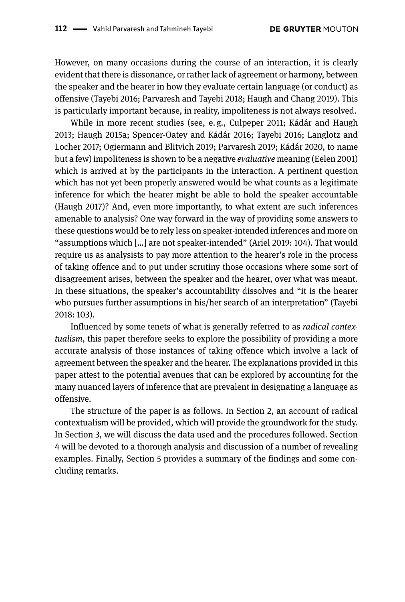However, on many occasions during the course of an interaction, it is clearly evident that there is dissonance, or rather lack of agreement or harmony, between the speaker and the hearer in how they evaluate certain language (or conduct) as offensive (Tayebi 2016; Parvaresh and Tayebi 2018; Haugh and Chang 2019). This is particularly important because, in reality, impoliteness is not always resolved.

While in more recent studies (see, e. g., Culpeper 2011; Kádár and Haugh 2013; Haugh 2015a; Spencer-Oatey and Kádár 2016; Tayebi 2016; Langlotz and Locher 2017; Ogiermann and Blitvich 2019; Parvaresh 2019; Kádár 2020, to name but a few) impoliteness is shown to be a negative *evaluative* meaning (Eelen 2001) which is arrived at by the participants in the interaction. A pertinent question which has not yet been properly answered would be what counts as a legitimate inference for which the hearer might be able to hold the speaker accountable (Haugh 2017)? And, even more importantly, to what extent are such inferences amenable to analysis? One way forward in the way of providing some answers to these questions would be to rely less on speaker-intended inferences and more on "assumptions which […] are not speaker-intended" (Ariel 2019: 104). That would require us as analysists to pay more attention to the hearer's role in the process of taking offence and to put under scrutiny those occasions where some sort of disagreement arises, between the speaker and the hearer, over what was meant. In these situations, the speaker's accountability dissolves and "it is the hearer who pursues further assumptions in his/her search of an interpretation" (Tayebi 2018: 103).

Influenced by some tenets of what is generally referred to as *radical contextualism*, this paper therefore seeks to explore the possibility of providing a more accurate analysis of those instances of taking offence which involve a lack of agreement between the speaker and the hearer. The explanations provided in this paper attest to the potential avenues that can be explored by accounting for the many nuanced layers of inference that are prevalent in designating a language as offensive.

The structure of the paper is as follows. In Section 2, an account of radical contextualism will be provided, which will provide the groundwork for the study. In Section 3, we will discuss the data used and the procedures followed. Section 4 will be devoted to a thorough analysis and discussion of a number of revealing examples. Finally, Section 5 provides a summary of the findings and some concluding remarks.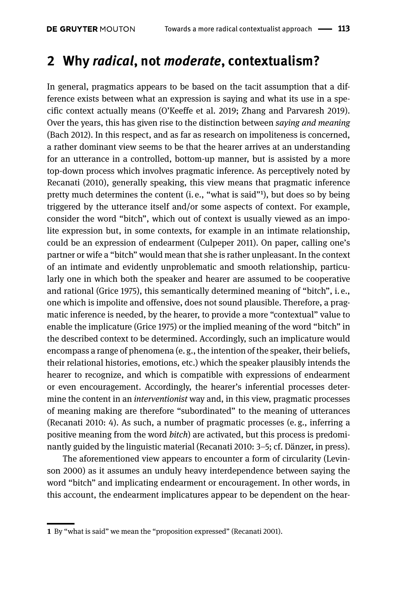### **2 Why** *radical***, not** *moderate***, contextualism?**

In general, pragmatics appears to be based on the tacit assumption that a difference exists between what an expression is saying and what its use in a specific context actually means (O'Keeffe et al. 2019; Zhang and Parvaresh 2019). Over the years, this has given rise to the distinction between *saying and meaning*  (Bach 2012). In this respect, and as far as research on impoliteness is concerned, a rather dominant view seems to be that the hearer arrives at an understanding for an utterance in a controlled, bottom-up manner, but is assisted by a more top-down process which involves pragmatic inference. As perceptively noted by Recanati (2010), generally speaking, this view means that pragmatic inference pretty much determines the content (i.e., "what is said"<sup>1</sup>), but does so by being triggered by the utterance itself and/or some aspects of context. For example, consider the word "bitch", which out of context is usually viewed as an impolite expression but, in some contexts, for example in an intimate relationship, could be an expression of endearment (Culpeper 2011). On paper, calling one's partner or wife a "bitch" would mean that she is rather unpleasant. In the context of an intimate and evidently unproblematic and smooth relationship, particularly one in which both the speaker and hearer are assumed to be cooperative and rational (Grice 1975), this semantically determined meaning of "bitch", i. e., one which is impolite and offensive, does not sound plausible. Therefore, a pragmatic inference is needed, by the hearer, to provide a more "contextual" value to enable the implicature (Grice 1975) or the implied meaning of the word "bitch" in the described context to be determined. Accordingly, such an implicature would encompass a range of phenomena (e. g., the intention of the speaker, their beliefs, their relational histories, emotions, etc.) which the speaker plausibly intends the hearer to recognize, and which is compatible with expressions of endearment or even encouragement. Accordingly, the hearer's inferential processes determine the content in an *interventionist* way and, in this view, pragmatic processes of meaning making are therefore "subordinated" to the meaning of utterances (Recanati 2010: 4). As such, a number of pragmatic processes (e. g., inferring a positive meaning from the word *bitch*) are activated, but this process is predominantly guided by the linguistic material (Recanati 2010: 3–5; cf. Dänzer, in press).

The aforementioned view appears to encounter a form of circularity (Levinson 2000) as it assumes an unduly heavy interdependence between saying the word "bitch" and implicating endearment or encouragement. In other words, in this account, the endearment implicatures appear to be dependent on the hear-

**<sup>1</sup>** By "what is said" we mean the "proposition expressed" (Recanati 2001).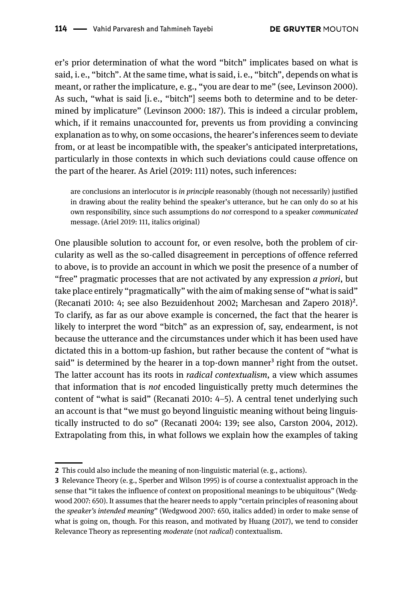er's prior determination of what the word "bitch" implicates based on what is said, i. e., "bitch". At the same time, what is said, i. e., "bitch", depends on what is meant, or rather the implicature, e. g., "you are dear to me" (see, Levinson 2000). As such, "what is said [i. e., "bitch"] seems both to determine and to be determined by implicature" (Levinson 2000: 187). This is indeed a circular problem, which, if it remains unaccounted for, prevents us from providing a convincing explanation as to why, on some occasions, the hearer's inferences seem to deviate from, or at least be incompatible with, the speaker's anticipated interpretations, particularly in those contexts in which such deviations could cause offence on the part of the hearer. As Ariel (2019: 111) notes, such inferences:

are conclusions an interlocutor is *in principle* reasonably (though not necessarily) justified in drawing about the reality behind the speaker's utterance, but he can only do so at his own responsibility, since such assumptions do *not* correspond to a speaker *communicated* message. (Ariel 2019: 111, italics original)

One plausible solution to account for, or even resolve, both the problem of circularity as well as the so-called disagreement in perceptions of offence referred to above, is to provide an account in which we posit the presence of a number of "free" pragmatic processes that are not activated by any expression *a priori*, but take place entirely "pragmatically" with the aim of making sense of "what is said" (Recanati 2010: 4; see also Bezuidenhout 2002; Marchesan and Zapero 2018)<sup>2</sup>. To clarify, as far as our above example is concerned, the fact that the hearer is likely to interpret the word "bitch" as an expression of, say, endearment, is not because the utterance and the circumstances under which it has been used have dictated this in a bottom-up fashion, but rather because the content of "what is said" is determined by the hearer in a top-down manner<sup>3</sup> right from the outset. The latter account has its roots in *radical contextualism*, a view which assumes that information that is *not* encoded linguistically pretty much determines the content of "what is said" (Recanati 2010: 4–5). A central tenet underlying such an account is that "we must go beyond linguistic meaning without being linguistically instructed to do so" (Recanati 2004: 139; see also, Carston 2004, 2012). Extrapolating from this, in what follows we explain how the examples of taking

**<sup>2</sup>** This could also include the meaning of non-linguistic material (e. g., actions).

**<sup>3</sup>** Relevance Theory (e. g., Sperber and Wilson 1995) is of course a contextualist approach in the sense that "it takes the influence of context on propositional meanings to be ubiquitous" (Wedgwood 2007: 650). It assumes that the hearer needs to apply "certain principles of reasoning about the *speaker's intended meaning*" (Wedgwood 2007: 650, italics added) in order to make sense of what is going on, though. For this reason, and motivated by Huang (2017), we tend to consider Relevance Theory as representing *moderate* (not *radical*) contextualism.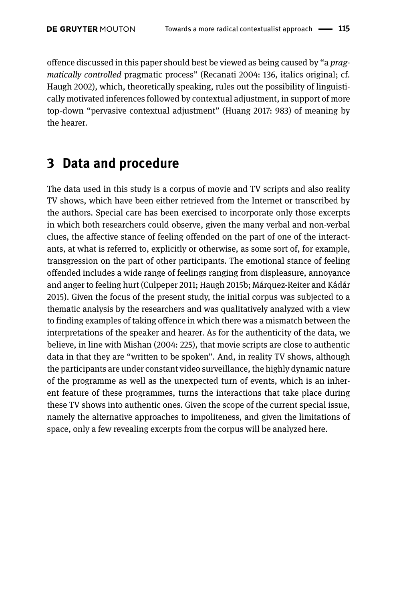offence discussed in this paper should best be viewed as being caused by "a *pragmatically controlled* pragmatic process" (Recanati 2004: 136, italics original; cf. Haugh 2002), which, theoretically speaking, rules out the possibility of linguistically motivated inferences followed by contextual adjustment, in support of more top-down "pervasive contextual adjustment" (Huang 2017: 983) of meaning by the hearer.

### **3 Data and procedure**

The data used in this study is a corpus of movie and TV scripts and also reality TV shows, which have been either retrieved from the Internet or transcribed by the authors. Special care has been exercised to incorporate only those excerpts in which both researchers could observe, given the many verbal and non-verbal clues, the affective stance of feeling offended on the part of one of the interactants, at what is referred to, explicitly or otherwise, as some sort of, for example, transgression on the part of other participants. The emotional stance of feeling offended includes a wide range of feelings ranging from displeasure, annoyance and anger to feeling hurt (Culpeper 2011; Haugh 2015b; Márquez-Reiter and Kádár 2015). Given the focus of the present study, the initial corpus was subjected to a thematic analysis by the researchers and was qualitatively analyzed with a view to finding examples of taking offence in which there was a mismatch between the interpretations of the speaker and hearer. As for the authenticity of the data, we believe, in line with Mishan (2004: 225), that movie scripts are close to authentic data in that they are "written to be spoken". And, in reality TV shows, although the participants are under constant video surveillance, the highly dynamic nature of the programme as well as the unexpected turn of events, which is an inherent feature of these programmes, turns the interactions that take place during these TV shows into authentic ones. Given the scope of the current special issue, namely the alternative approaches to impoliteness, and given the limitations of space, only a few revealing excerpts from the corpus will be analyzed here.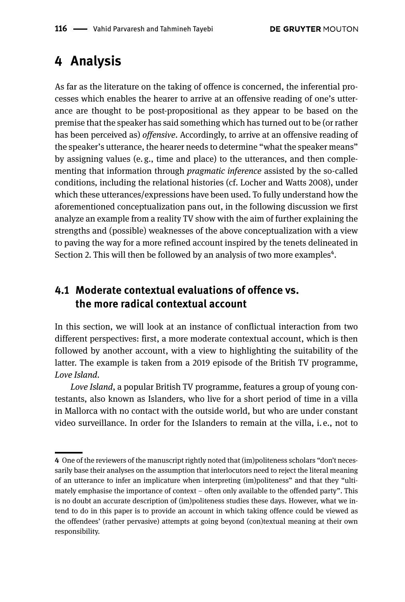## **4 Analysis**

As far as the literature on the taking of offence is concerned, the inferential processes which enables the hearer to arrive at an offensive reading of one's utterance are thought to be post-propositional as they appear to be based on the premise that the speaker has said something which has turned out to be (or rather has been perceived as) *offensive*. Accordingly, to arrive at an offensive reading of the speaker's utterance, the hearer needs to determine "what the speaker means" by assigning values (e. g., time and place) to the utterances, and then complementing that information through *pragmatic inference* assisted by the so-called conditions, including the relational histories (cf. Locher and Watts 2008), under which these utterances/expressions have been used*.* To fully understand how the aforementioned conceptualization pans out, in the following discussion we first analyze an example from a reality TV show with the aim of further explaining the strengths and (possible) weaknesses of the above conceptualization with a view to paving the way for a more refined account inspired by the tenets delineated in Section 2. This will then be followed by an analysis of two more examples<sup>4</sup>.

### **4.1 Moderate contextual evaluations of offence vs. the more radical contextual account**

In this section, we will look at an instance of conflictual interaction from two different perspectives: first, a more moderate contextual account, which is then followed by another account, with a view to highlighting the suitability of the latter. The example is taken from a 2019 episode of the British TV programme, *Love Island*.

*Love Island*, a popular British TV programme, features a group of young contestants, also known as Islanders, who live for a short period of time in a villa in Mallorca with no contact with the outside world, but who are under constant video surveillance. In order for the Islanders to remain at the villa, i. e., not to

**<sup>4</sup>** One of the reviewers of the manuscript rightly noted that (im)politeness scholars "don't necessarily base their analyses on the assumption that interlocutors need to reject the literal meaning of an utterance to infer an implicature when interpreting (im)politeness" and that they "ultimately emphasise the importance of context – often only available to the offended party". This is no doubt an accurate description of (im)politeness studies these days. However, what we intend to do in this paper is to provide an account in which taking offence could be viewed as the offendees' (rather pervasive) attempts at going beyond (con)textual meaning at their own responsibility.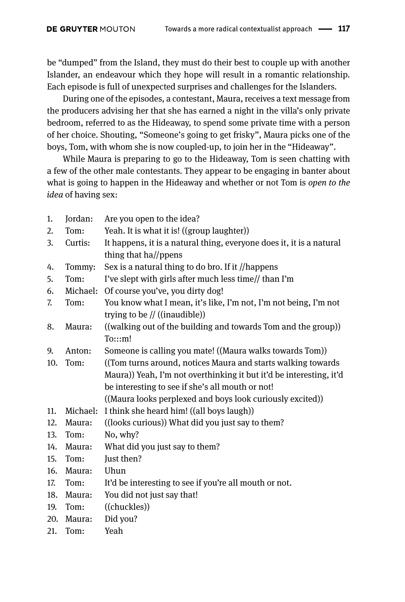be "dumped" from the Island, they must do their best to couple up with another Islander, an endeavour which they hope will result in a romantic relationship. Each episode is full of unexpected surprises and challenges for the Islanders.

During one of the episodes, a contestant, Maura, receives a text message from the producers advising her that she has earned a night in the villa's only private bedroom, referred to as the Hideaway, to spend some private time with a person of her choice. Shouting, "Someone's going to get frisky", Maura picks one of the boys, Tom, with whom she is now coupled-up, to join her in the "Hideaway".

While Maura is preparing to go to the Hideaway, Tom is seen chatting with a few of the other male contestants. They appear to be engaging in banter about what is going to happen in the Hideaway and whether or not Tom is *open to the idea* of having sex:

| 1.  | Jordan:  | Are you open to the idea?                                            |
|-----|----------|----------------------------------------------------------------------|
| 2.  | Tom:     | Yeah. It is what it is! ((group laughter))                           |
| 3.  | Curtis:  | It happens, it is a natural thing, everyone does it, it is a natural |
|     |          | thing that ha//ppens                                                 |
| 4.  | Tommy:   | Sex is a natural thing to do bro. If it //happens                    |
| 5.  | Tom:     | I've slept with girls after much less time// than I'm                |
| 6.  | Michael: | Of course you've, you dirty dog!                                     |
| 7.  | Tom:     | You know what I mean, it's like, I'm not, I'm not being, I'm not     |
|     |          | trying to be $\frac{1}{1}$ ((inaudible))                             |
| 8.  | Maura:   | ((walking out of the building and towards Tom and the group))        |
|     |          | To::m!                                                               |
| 9.  | Anton:   | Someone is calling you mate! ((Maura walks towards Tom))             |
| 10. | Tom:     | ((Tom turns around, notices Maura and starts walking towards         |
|     |          | Maura)) Yeah, I'm not overthinking it but it'd be interesting, it'd  |
|     |          | be interesting to see if she's all mouth or not!                     |
|     |          | ((Maura looks perplexed and boys look curiously excited))            |
| 11. | Michael: | I think she heard him! ((all boys laugh))                            |
| 12. | Maura:   | ((looks curious)) What did you just say to them?                     |
| 13. | Tom:     | No, why?                                                             |
| 14. | Maura:   | What did you just say to them?                                       |
| 15. | Tom:     | Just then?                                                           |
| 16. | Maura:   | Uhun                                                                 |
| 17. | Tom:     | It'd be interesting to see if you're all mouth or not.               |
| 18. | Maura:   | You did not just say that!                                           |
| 19. | Tom:     | ((chuckles))                                                         |
| 20. | Maura:   | Did you?                                                             |
| 21. | Tom:     | Yeah                                                                 |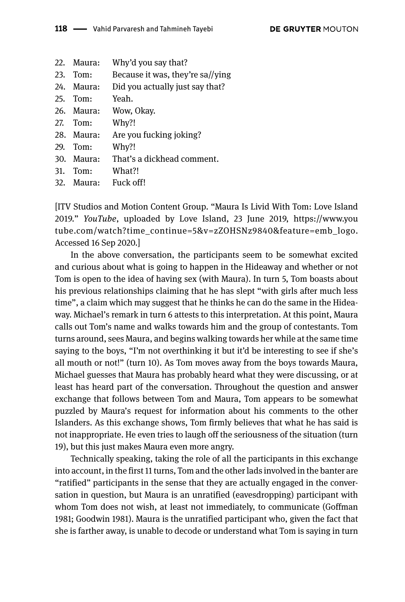|     | 22. Maura:   | Why'd you say that?              |
|-----|--------------|----------------------------------|
|     | 23. Tom:     | Because it was, they're sa//ying |
|     | $24.$ Maura: | Did you actually just say that?  |
|     | 25. Tom:     | Yeah.                            |
|     | 26. Maura:   | Wow, Okay.                       |
|     | 27. Tom:     | Why?!                            |
|     | 28. Maura:   | Are you fucking joking?          |
|     | 29. Tom:     | Why?!                            |
|     | $30.$ Maura: | That's a dickhead comment.       |
| 31. | Tom:         | What?!                           |
|     | $32.$ Maura: | Fuck off!                        |
|     |              |                                  |

[ITV Studios and Motion Content Group. "Maura Is Livid With Tom: Love Island 2019." *YouTube*, uploaded by Love Island, 23 June 2019, [https://www.you](https://www.youtube.com/watch?time_continue=5&v=zZOHSNz9840&feature=emb_logo) [tube.com/watch?time\\_continue=5&v=zZOHSNz9840&feature=emb\\_logo.](https://www.youtube.com/watch?time_continue=5&v=zZOHSNz9840&feature=emb_logo) Accessed 16 Sep 2020.]

In the above conversation, the participants seem to be somewhat excited and curious about what is going to happen in the Hideaway and whether or not Tom is open to the idea of having sex (with Maura). In turn 5, Tom boasts about his previous relationships claiming that he has slept "with girls after much less time", a claim which may suggest that he thinks he can do the same in the Hideaway. Michael's remark in turn 6 attests to this interpretation. At this point, Maura calls out Tom's name and walks towards him and the group of contestants. Tom turns around, sees Maura, and begins walking towards her while at the same time saying to the boys, "I'm not overthinking it but it'd be interesting to see if she's all mouth or not!" (turn 10). As Tom moves away from the boys towards Maura, Michael guesses that Maura has probably heard what they were discussing, or at least has heard part of the conversation. Throughout the question and answer exchange that follows between Tom and Maura, Tom appears to be somewhat puzzled by Maura's request for information about his comments to the other Islanders. As this exchange shows, Tom firmly believes that what he has said is not inappropriate. He even tries to laugh off the seriousness of the situation (turn 19), but this just makes Maura even more angry.

Technically speaking, taking the role of all the participants in this exchange into account, in the first 11 turns, Tom and the other lads involved in the banter are "ratified" participants in the sense that they are actually engaged in the conversation in question, but Maura is an unratified (eavesdropping) participant with whom Tom does not wish, at least not immediately, to communicate (Goffman 1981; Goodwin 1981). Maura is the unratified participant who, given the fact that she is farther away, is unable to decode or understand what Tom is saying in turn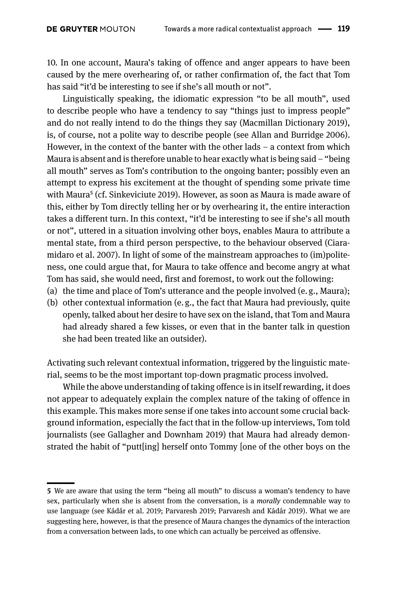10. In one account, Maura's taking of offence and anger appears to have been caused by the mere overhearing of, or rather confirmation of, the fact that Tom has said "it'd be interesting to see if she's all mouth or not".

Linguistically speaking, the idiomatic expression "to be all mouth", used to describe people who have a tendency to say "things just to impress people" and do not really intend to do the things they say (Macmillan Dictionary 2019), is, of course, not a polite way to describe people (see Allan and Burridge 2006). However, in the context of the banter with the other lads – a context from which Maura is absent and is therefore unable to hear exactly what is being said – "being all mouth" serves as Tom's contribution to the ongoing banter; possibly even an attempt to express his excitement at the thought of spending some private time with Maura<sup>5</sup> (cf. Sinkeviciute 2019). However, as soon as Maura is made aware of this, either by Tom directly telling her or by overhearing it, the entire interaction takes a different turn. In this context, "it'd be interesting to see if she's all mouth or not", uttered in a situation involving other boys, enables Maura to attribute a mental state, from a third person perspective, to the behaviour observed (Ciaramidaro et al. 2007). In light of some of the mainstream approaches to (im)politeness, one could argue that, for Maura to take offence and become angry at what Tom has said, she would need, first and foremost, to work out the following:

- (a) the time and place of Tom's utterance and the people involved (e. g., Maura);
- (b) other contextual information (e. g., the fact that Maura had previously, quite openly, talked about her desire to have sex on the island, that Tom and Maura had already shared a few kisses, or even that in the banter talk in question she had been treated like an outsider).

Activating such relevant contextual information, triggered by the linguistic material, seems to be the most important top-down pragmatic process involved.

While the above understanding of taking offence is in itself rewarding, it does not appear to adequately explain the complex nature of the taking of offence in this example. This makes more sense if one takes into account some crucial background information, especially the fact that in the follow-up interviews, Tom told journalists (see Gallagher and Downham 2019) that Maura had already demonstrated the habit of "putt[ing] herself onto Tommy [one of the other boys on the

**<sup>5</sup>** We are aware that using the term "being all mouth" to discuss a woman's tendency to have sex, particularly when she is absent from the conversation, is a *morally* condemnable way to use language (see Kádár et al. 2019; Parvaresh 2019; Parvaresh and Kádár 2019). What we are suggesting here, however, is that the presence of Maura changes the dynamics of the interaction from a conversation between lads, to one which can actually be perceived as offensive.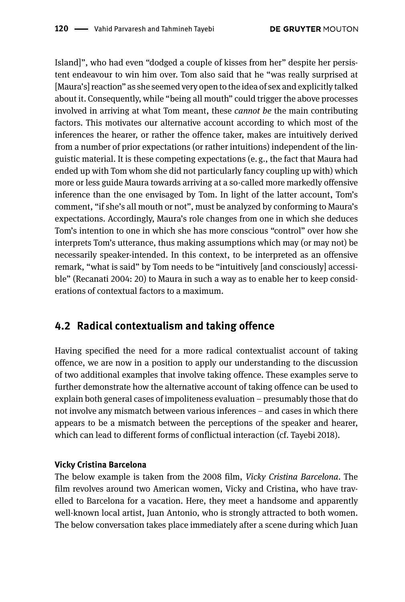Island]", who had even "dodged a couple of kisses from her" despite her persistent endeavour to win him over. Tom also said that he "was really surprised at [Maura's] reaction" as she seemed very open to the idea of sex and explicitly talked about it. Consequently, while "being all mouth" could trigger the above processes involved in arriving at what Tom meant, these *cannot be* the main contributing factors. This motivates our alternative account according to which most of the inferences the hearer, or rather the offence taker, makes are intuitively derived from a number of prior expectations (or rather intuitions) independent of the linguistic material. It is these competing expectations (e. g., the fact that Maura had ended up with Tom whom she did not particularly fancy coupling up with) which more or less guide Maura towards arriving at a so-called more markedly offensive inference than the one envisaged by Tom. In light of the latter account, Tom's comment, "if she's all mouth or not", must be analyzed by conforming to Maura's expectations. Accordingly, Maura's role changes from one in which she deduces Tom's intention to one in which she has more conscious "control" over how she interprets Tom's utterance, thus making assumptions which may (or may not) be necessarily speaker-intended. In this context, to be interpreted as an offensive remark, "what is said" by Tom needs to be "intuitively [and consciously] accessible" (Recanati 2004: 20) to Maura in such a way as to enable her to keep considerations of contextual factors to a maximum.

### **4.2 Radical contextualism and taking offence**

Having specified the need for a more radical contextualist account of taking offence, we are now in a position to apply our understanding to the discussion of two additional examples that involve taking offence. These examples serve to further demonstrate how the alternative account of taking offence can be used to explain both general cases of impoliteness evaluation – presumably those that do not involve any mismatch between various inferences – and cases in which there appears to be a mismatch between the perceptions of the speaker and hearer, which can lead to different forms of conflictual interaction (cf. Tayebi 2018).

### **Vicky Cristina Barcelona**

The below example is taken from the 2008 film, *Vicky Cristina Barcelona*. The film revolves around two American women, Vicky and Cristina, who have travelled to Barcelona for a vacation. Here, they meet a handsome and apparently well-known local artist, Juan Antonio, who is strongly attracted to both women. The below conversation takes place immediately after a scene during which Juan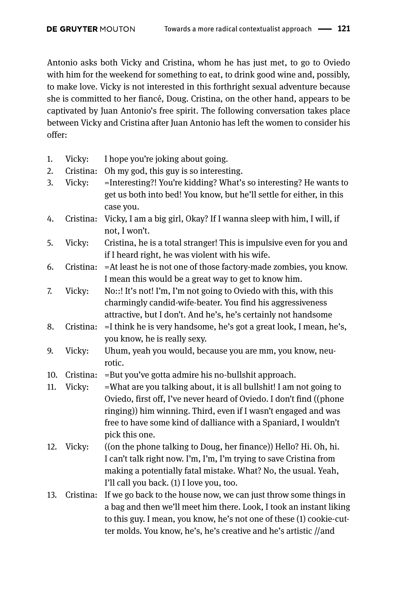Antonio asks both Vicky and Cristina, whom he has just met, to go to Oviedo with him for the weekend for something to eat, to drink good wine and, possibly, to make love. Vicky is not interested in this forthright sexual adventure because she is committed to her fiancé, Doug. Cristina, on the other hand, appears to be captivated by Juan Antonio's free spirit. The following conversation takes place between Vicky and Cristina after Juan Antonio has left the women to consider his offer:

- 1. Vicky: I hope you're joking about going.
- 2. Cristina: Oh my god, this guy is so interesting.
- 3. Vicky: =Interesting?! You're kidding? What's so interesting? He wants to get us both into bed! You know, but he'll settle for either, in this case you.
- 4. Cristina: Vicky, I am a big girl, Okay? If I wanna sleep with him, I will, if not, I won't.
- 5. Vicky: Cristina, he is a total stranger! This is impulsive even for you and if I heard right, he was violent with his wife.
- 6. Cristina: =At least he is not one of those factory-made zombies, you know. I mean this would be a great way to get to know him.
- 7. Vicky: No::! It's not! I'm, I'm not going to Oviedo with this, with this charmingly candid-wife-beater. You find his aggressiveness attractive, but I don't. And he's, he's certainly not handsome
- 8. Cristina: =I think he is very handsome, he's got a great look, I mean, he's, you know, he is really sexy.
- 9. Vicky: Uhum, yeah you would, because you are mm, you know, neurotic.

10. Cristina: =But you've gotta admire his no-bullshit approach.

- 11. Vicky: =What are you talking about, it is all bullshit! I am not going to Oviedo, first off, I've never heard of Oviedo. I don't find ((phone ringing)) him winning. Third, even if I wasn't engaged and was free to have some kind of dalliance with a Spaniard, I wouldn't pick this one.
- 12. Vicky: ((on the phone talking to Doug, her finance)) Hello? Hi. Oh, hi. I can't talk right now. I'm, I'm, I'm trying to save Cristina from making a potentially fatal mistake. What? No, the usual. Yeah, I'll call you back. (1) I love you, too.
- 13. Cristina: If we go back to the house now, we can just throw some things in a bag and then we'll meet him there. Look, I took an instant liking to this guy. I mean, you know, he's not one of these (1) cookie-cutter molds. You know, he's, he's creative and he's artistic //and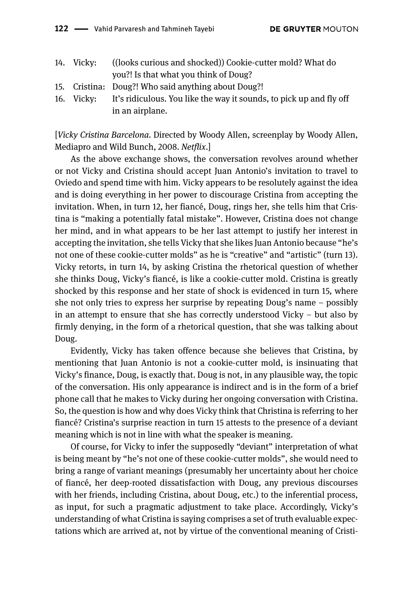| 14. Vicky: | ((looks curious and shocked)) Cookie-cutter mold? What do           |
|------------|---------------------------------------------------------------------|
|            | you?! Is that what you think of Doug?                               |
|            | 15. Cristina: Doug?! Who said anything about Doug?!                 |
| 16. Vicky: | It's ridiculous. You like the way it sounds, to pick up and fly off |
|            | in an airplane.                                                     |

[*Vicky Cristina Barcelona.* Directed by Woody Allen, screenplay by Woody Allen, Mediapro and Wild Bunch, 2008. *Netflix*.]

As the above exchange shows, the conversation revolves around whether or not Vicky and Cristina should accept Juan Antonio's invitation to travel to Oviedo and spend time with him. Vicky appears to be resolutely against the idea and is doing everything in her power to discourage Cristina from accepting the invitation. When, in turn 12, her fiancé, Doug, rings her, she tells him that Cristina is "making a potentially fatal mistake". However, Cristina does not change her mind, and in what appears to be her last attempt to justify her interest in accepting the invitation, she tells Vicky that she likes Juan Antonio because "he's not one of these cookie-cutter molds" as he is "creative" and "artistic" (turn 13). Vicky retorts, in turn 14, by asking Cristina the rhetorical question of whether she thinks Doug, Vicky's fiancé, is like a cookie-cutter mold. Cristina is greatly shocked by this response and her state of shock is evidenced in turn 15, where she not only tries to express her surprise by repeating Doug's name – possibly in an attempt to ensure that she has correctly understood Vicky – but also by firmly denying, in the form of a rhetorical question, that she was talking about Doug.

Evidently, Vicky has taken offence because she believes that Cristina, by mentioning that Juan Antonio is not a cookie-cutter mold, is insinuating that Vicky's finance, Doug, is exactly that. Doug is not, in any plausible way, the topic of the conversation. His only appearance is indirect and is in the form of a brief phone call that he makes to Vicky during her ongoing conversation with Cristina. So, the question is how and why does Vicky think that Christina is referring to her fiancé? Cristina's surprise reaction in turn 15 attests to the presence of a deviant meaning which is not in line with what the speaker is meaning.

Of course, for Vicky to infer the supposedly "deviant" interpretation of what is being meant by "he's not one of these cookie-cutter molds", she would need to bring a range of variant meanings (presumably her uncertainty about her choice of fiancé, her deep-rooted dissatisfaction with Doug, any previous discourses with her friends, including Cristina, about Doug, etc.) to the inferential process, as input, for such a pragmatic adjustment to take place. Accordingly, Vicky's understanding of what Cristina is saying comprises a set of truth evaluable expectations which are arrived at, not by virtue of the conventional meaning of Cristi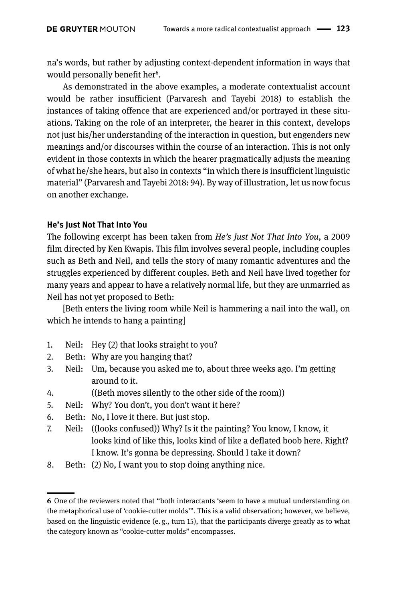na's words, but rather by adjusting context-dependent information in ways that would personally benefit her<sup>6</sup>.

As demonstrated in the above examples, a moderate contextualist account would be rather insufficient (Parvaresh and Tayebi 2018) to establish the instances of taking offence that are experienced and/or portrayed in these situations. Taking on the role of an interpreter, the hearer in this context, develops not just his/her understanding of the interaction in question, but engenders new meanings and/or discourses within the course of an interaction. This is not only evident in those contexts in which the hearer pragmatically adjusts the meaning of what he/she hears, but also in contexts "in which there is insufficient linguistic material" (Parvaresh and Tayebi 2018: 94). By way of illustration, let us now focus on another exchange.

### **He's Just Not That Into You**

The following excerpt has been taken from *He's Just Not That Into You*, a 2009 film directed by Ken Kwapis. This film involves several people, including couples such as Beth and Neil, and tells the story of many romantic adventures and the struggles experienced by different couples. Beth and Neil have lived together for many years and appear to have a relatively normal life, but they are unmarried as Neil has not yet proposed to Beth:

[Beth enters the living room while Neil is hammering a nail into the wall, on which he intends to hang a painting]

- 1. Neil: Hey (2) that looks straight to you?
- 2. Beth: Why are you hanging that?
- 3. Neil: Um, because you asked me to, about three weeks ago. I'm getting around to it.
- 4. ((Beth moves silently to the other side of the room))
- 5. Neil: Why? You don't, you don't want it here?
- 6. Beth: No, I love it there. But just stop.
- 7. Neil: ((looks confused)) Why? Is it the painting? You know, I know, it looks kind of like this, looks kind of like a deflated boob here. Right? I know. It's gonna be depressing. Should I take it down?
- 8. Beth: (2) No, I want you to stop doing anything nice.

**<sup>6</sup>** One of the reviewers noted that "both interactants 'seem to have a mutual understanding on the metaphorical use of 'cookie-cutter molds'". This is a valid observation; however, we believe, based on the linguistic evidence (e. g., turn 15), that the participants diverge greatly as to what the category known as "cookie-cutter molds" encompasses.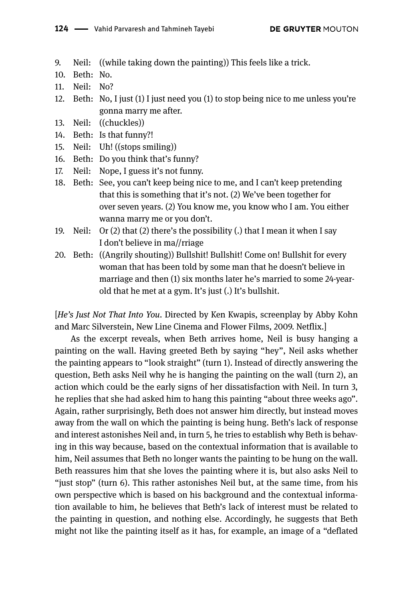9. Neil: ((while taking down the painting)) This feels like a trick.

- 10. Beth: No.
- 11. Neil: No?
- 12. Beth: No, I just (1) I just need you (1) to stop being nice to me unless you're gonna marry me after.
- 13. Neil: ((chuckles))
- 14. Beth: Is that funny?!
- 15. Neil: Uh! ((stops smiling))
- 16. Beth: Do you think that's funny?
- 17. Neil: Nope, I guess it's not funny.
- 18. Beth: See, you can't keep being nice to me, and I can't keep pretending that this is something that it's not. (2) We've been together for over seven years. (2) You know me, you know who I am. You either wanna marry me or you don't.
- 19. Neil: Or (2) that (2) there's the possibility (.) that I mean it when I say I don't believe in ma//rriage
- 20. Beth: ((Angrily shouting)) Bullshit! Bullshit! Come on! Bullshit for every woman that has been told by some man that he doesn't believe in marriage and then (1) six months later he's married to some 24-yearold that he met at a gym. It's just (.) It's bullshit.

[*He's Just Not That Into You*. Directed by Ken Kwapis, screenplay by Abby Kohn and Marc Silverstein, New Line Cinema and Flower Films, 2009. Netflix.]

As the excerpt reveals, when Beth arrives home, Neil is busy hanging a painting on the wall. Having greeted Beth by saying "hey", Neil asks whether the painting appears to "look straight" (turn 1). Instead of directly answering the question, Beth asks Neil why he is hanging the painting on the wall (turn 2), an action which could be the early signs of her dissatisfaction with Neil. In turn 3, he replies that she had asked him to hang this painting "about three weeks ago". Again, rather surprisingly, Beth does not answer him directly, but instead moves away from the wall on which the painting is being hung. Beth's lack of response and interest astonishes Neil and, in turn 5, he tries to establish why Beth is behaving in this way because, based on the contextual information that is available to him, Neil assumes that Beth no longer wants the painting to be hung on the wall. Beth reassures him that she loves the painting where it is, but also asks Neil to "just stop" (turn 6). This rather astonishes Neil but, at the same time, from his own perspective which is based on his background and the contextual information available to him, he believes that Beth's lack of interest must be related to the painting in question, and nothing else. Accordingly, he suggests that Beth might not like the painting itself as it has, for example, an image of a "deflated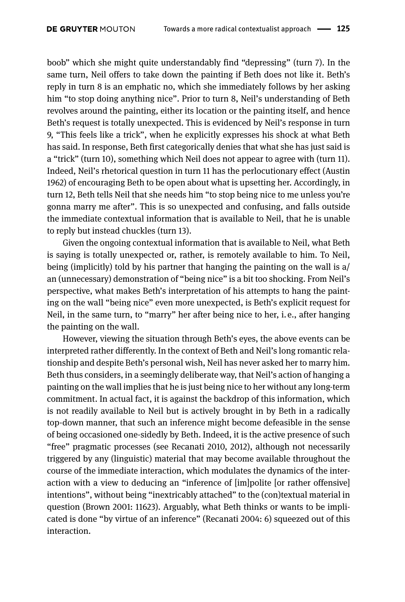boob" which she might quite understandably find "depressing" (turn 7). In the same turn, Neil offers to take down the painting if Beth does not like it. Beth's reply in turn 8 is an emphatic no, which she immediately follows by her asking him "to stop doing anything nice". Prior to turn 8, Neil's understanding of Beth revolves around the painting, either its location or the painting itself, and hence Beth's request is totally unexpected. This is evidenced by Neil's response in turn 9, "This feels like a trick", when he explicitly expresses his shock at what Beth has said. In response, Beth first categorically denies that what she has just said is a "trick" (turn 10), something which Neil does not appear to agree with (turn 11). Indeed, Neil's rhetorical question in turn 11 has the perlocutionary effect (Austin 1962) of encouraging Beth to be open about what is upsetting her. Accordingly, in turn 12, Beth tells Neil that she needs him "to stop being nice to me unless you're gonna marry me after". This is so unexpected and confusing, and falls outside the immediate contextual information that is available to Neil, that he is unable to reply but instead chuckles (turn 13).

Given the ongoing contextual information that is available to Neil, what Beth is saying is totally unexpected or, rather, is remotely available to him. To Neil, being (implicitly) told by his partner that hanging the painting on the wall is a/ an (unnecessary) demonstration of "being nice" is a bit too shocking. From Neil's perspective, what makes Beth's interpretation of his attempts to hang the painting on the wall "being nice" even more unexpected, is Beth's explicit request for Neil, in the same turn, to "marry" her after being nice to her, i. e., after hanging the painting on the wall.

However, viewing the situation through Beth's eyes, the above events can be interpreted rather differently. In the context of Beth and Neil's long romantic relationship and despite Beth's personal wish, Neil has never asked her to marry him. Beth thus considers, in a seemingly deliberate way, that Neil's action of hanging a painting on the wall implies that he is just being nice to her without any long-term commitment. In actual fact, it is against the backdrop of this information, which is not readily available to Neil but is actively brought in by Beth in a radically top-down manner, that such an inference might become defeasible in the sense of being occasioned one-sidedly by Beth. Indeed, it is the active presence of such "free" pragmatic processes (see Recanati 2010, 2012), although not necessarily triggered by any (linguistic) material that may become available throughout the course of the immediate interaction, which modulates the dynamics of the interaction with a view to deducing an "inference of [im]polite [or rather offensive] intentions", without being "inextricably attached" to the (con)textual material in question (Brown 2001: 11623). Arguably, what Beth thinks or wants to be implicated is done "by virtue of an inference" (Recanati 2004: 6) squeezed out of this interaction.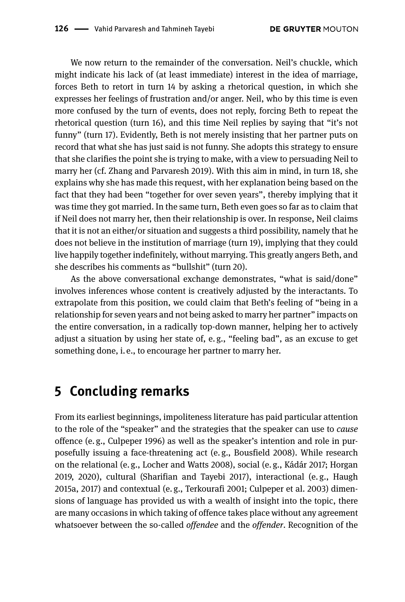We now return to the remainder of the conversation. Neil's chuckle, which might indicate his lack of (at least immediate) interest in the idea of marriage, forces Beth to retort in turn 14 by asking a rhetorical question, in which she expresses her feelings of frustration and/or anger. Neil, who by this time is even more confused by the turn of events, does not reply, forcing Beth to repeat the rhetorical question (turn 16), and this time Neil replies by saying that "it's not funny" (turn 17). Evidently, Beth is not merely insisting that her partner puts on record that what she has just said is not funny. She adopts this strategy to ensure that she clarifies the point she is trying to make, with a view to persuading Neil to marry her (cf. Zhang and Parvaresh 2019). With this aim in mind, in turn 18, she explains why she has made this request, with her explanation being based on the fact that they had been "together for over seven years", thereby implying that it was time they got married. In the same turn, Beth even goes so far as to claim that if Neil does not marry her, then their relationship is over. In response, Neil claims that it is not an either/or situation and suggests a third possibility, namely that he does not believe in the institution of marriage (turn 19), implying that they could live happily together indefinitely, without marrying. This greatly angers Beth, and she describes his comments as "bullshit" (turn 20).

As the above conversational exchange demonstrates, "what is said/done" involves inferences whose content is creatively adjusted by the interactants. To extrapolate from this position, we could claim that Beth's feeling of "being in a relationship for seven years and not being asked to marry her partner" impacts on the entire conversation, in a radically top-down manner, helping her to actively adjust a situation by using her state of, e. g., "feeling bad", as an excuse to get something done, i.e., to encourage her partner to marry her.

## **5 Concluding remarks**

From its earliest beginnings, impoliteness literature has paid particular attention to the role of the "speaker" and the strategies that the speaker can use to *cause* offence (e. g., Culpeper 1996) as well as the speaker's intention and role in purposefully issuing a face-threatening act (e. g., Bousfield 2008). While research on the relational (e. g., Locher and Watts 2008), social (e. g., Kádár 2017; Horgan 2019, 2020), cultural (Sharifian and Tayebi 2017), interactional (e. g., Haugh 2015a, 2017) and contextual (e. g., Terkourafi 2001; Culpeper et al. 2003) dimensions of language has provided us with a wealth of insight into the topic, there are many occasions in which taking of offence takes place without any agreement whatsoever between the so-called *offendee* and the *offender*. Recognition of the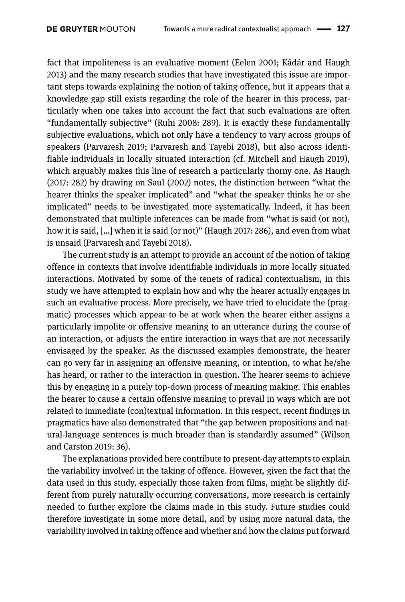fact that impoliteness is an evaluative moment (Eelen 2001; Kádár and Haugh 2013) and the many research studies that have investigated this issue are important steps towards explaining the notion of taking offence, but it appears that a knowledge gap still exists regarding the role of the hearer in this process, particularly when one takes into account the fact that such evaluations are often "fundamentally subjective" (Ruhi 2008: 289). It is exactly these fundamentally subjective evaluations, which not only have a tendency to vary across groups of speakers (Parvaresh 2019; Parvaresh and Tayebi 2018), but also across identifiable individuals in locally situated interaction (cf. Mitchell and Haugh 2019), which arguably makes this line of research a particularly thorny one. As Haugh (2017: 282) by drawing on Saul (2002) notes, the distinction between "what the hearer thinks the speaker implicated" and "what the speaker thinks he or she implicated" needs to be investigated more systematically. Indeed, it has been demonstrated that multiple inferences can be made from "what is said (or not), how it is said, […] when it is said (or not)" (Haugh 2017: 286), and even from what is unsaid (Parvaresh and Tayebi 2018).

The current study is an attempt to provide an account of the notion of taking offence in contexts that involve identifiable individuals in more locally situated interactions. Motivated by some of the tenets of radical contextualism, in this study we have attempted to explain how and why the hearer actually engages in such an evaluative process. More precisely, we have tried to elucidate the (pragmatic) processes which appear to be at work when the hearer either assigns a particularly impolite or offensive meaning to an utterance during the course of an interaction, or adjusts the entire interaction in ways that are not necessarily envisaged by the speaker. As the discussed examples demonstrate, the hearer can go very far in assigning an offensive meaning, or intention, to what he/she has heard, or rather to the interaction in question. The hearer seems to achieve this by engaging in a purely top-down process of meaning making. This enables the hearer to cause a certain offensive meaning to prevail in ways which are not related to immediate (con)textual information. In this respect, recent findings in pragmatics have also demonstrated that "the gap between propositions and natural-language sentences is much broader than is standardly assumed" (Wilson and Carston 2019: 36).

The explanations provided here contribute to present-day attempts to explain the variability involved in the taking of offence. However, given the fact that the data used in this study, especially those taken from films, might be slightly different from purely naturally occurring conversations, more research is certainly needed to further explore the claims made in this study. Future studies could therefore investigate in some more detail, and by using more natural data, the variability involved in taking offence and whether and how the claims put forward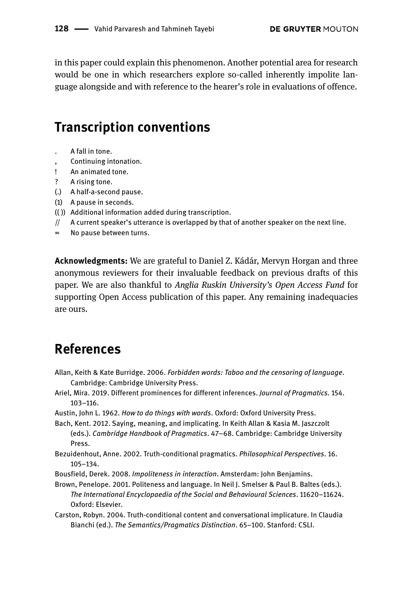in this paper could explain this phenomenon. Another potential area for research would be one in which researchers explore so-called inherently impolite language alongside and with reference to the hearer's role in evaluations of offence.

## **Transcription conventions**

- . A fall in tone.
- , Continuing intonation.
- ! An animated tone.
- ? A rising tone.
- (.) A half-a-second pause.
- (1) A pause in seconds.
- (( )) Additional information added during transcription.
- $//$  A current speaker's utterance is overlapped by that of another speaker on the next line.
- = No pause between turns.

**Acknowledgments:** We are grateful to Daniel Z. Kádár, Mervyn Horgan and three anonymous reviewers for their invaluable feedback on previous drafts of this paper. We are also thankful to *Anglia Ruskin University's Open Access Fund* for supporting Open Access publication of this paper. Any remaining inadequacies are ours.

## **References**

- Allan, Keith & Kate Burridge. 2006. *Forbidden words: Taboo and the censoring of language*. Cambridge: Cambridge University Press.
- Ariel, Mira. 2019. Different prominences for different inferences. *Journal of Pragmatics.* 154. 103–116.
- Austin, John L. 1962. *How to do things with words*. Oxford: Oxford University Press.
- Bach, Kent. 2012. Saying, meaning, and implicating. In Keith Allan & Kasia M. Jaszczolt (eds.). *Cambridge Handbook of Pragmatics*. 47–68. Cambridge: Cambridge University Press.
- Bezuidenhout, Anne. 2002. Truth-conditional pragmatics. *Philosophical Perspectives*. 16. 105–134.
- Bousfield, Derek. 2008. *Impoliteness in interaction*. Amsterdam: John Benjamins.
- Brown, Penelope. 2001. Politeness and language. In Neil J. Smelser & Paul B. Baltes (eds.). *The International Encyclopaedia of the Social and Behavioural Sciences*. 11620–11624. Oxford: Elsevier.
- Carston, Robyn. 2004. Truth-conditional content and conversational implicature. In Claudia Bianchi (ed.). *The Semantics/Pragmatics Distinction*. 65–100. Stanford: CSLI.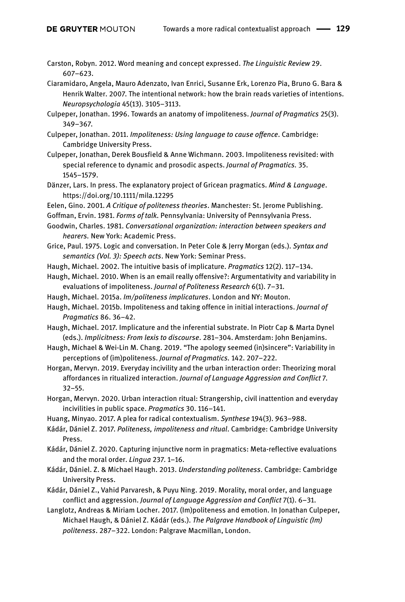- Carston, Robyn. 2012. Word meaning and concept expressed. *The Linguistic Review* 29. 607–623.
- Ciaramidaro, Angela, Mauro Adenzato, Ivan Enrici, Susanne Erk, Lorenzo Pia, Bruno G. Bara & Henrik Walter. 2007. The intentional network: how the brain reads varieties of intentions. *Neuropsychologia* 45(13). 3105–3113.
- Culpeper, Jonathan. 1996. Towards an anatomy of impoliteness. *Journal of Pragmatics* 25(3). 349–367.
- Culpeper, Jonathan. 2011. *Impoliteness: Using language to cause offence*. Cambridge: Cambridge University Press.
- Culpeper, Jonathan, Derek Bousfield & Anne Wichmann. 2003. Impoliteness revisited: with special reference to dynamic and prosodic aspects. *Journal of Pragmatics.* 35. 1545–1579.
- Dänzer, Lars. In press. The explanatory project of Gricean pragmatics. *Mind & Language*. <https://doi.org/10.1111/mila.12295>
- Eelen, Gino. 2001. *A Critique of politeness theories*. Manchester: St. Jerome Publishing.
- Goffman, Ervin. 1981. *Forms of talk*. Pennsylvania: University of Pennsylvania Press.
- Goodwin, Charles. 1981. *Conversational organization: interaction between speakers and hearers.* New York: Academic Press.
- Grice, Paul. 1975. Logic and conversation. In Peter Cole & Jerry Morgan (eds.). *Syntax and semantics (Vol. 3): Speech acts*. New York: Seminar Press.
- Haugh, Michael. 2002. The intuitive basis of implicature. *Pragmatics* 12(2). 117–134.
- Haugh, Michael. 2010. When is an email really offensive?: Argumentativity and variability in evaluations of impoliteness. *Journal of Politeness Research* 6(1). 7–31.
- Haugh, Michael. 2015a. *Im/politeness implicatures*. London and NY: Mouton.
- Haugh, Michael. 2015b. Impoliteness and taking offence in initial interactions. *Journal of Pragmatics* 86. 36–42.
- Haugh, Michael. 2017. Implicature and the inferential substrate. In Piotr Cap & Marta Dynel (eds.). *Implicitness: From lexis to discourse*. 281–304. Amsterdam: John Benjamins.
- Haugh, Michael & Wei-Lin M. Chang. 2019. "The apology seemed (in)sincere": Variability in perceptions of (im)politeness. *Journal of Pragmatics.* 142. 207–222.
- Horgan, Mervyn. 2019. Everyday incivility and the urban interaction order: Theorizing moral affordances in ritualized interaction. *Journal of Language Aggression and Conflict* 7. 32–55.
- Horgan, Mervyn. 2020. Urban interaction ritual: Strangership, civil inattention and everyday incivilities in public space. *Pragmatics* 30. 116–141.
- Huang, Minyao. 2017. A plea for radical contextualism. *Synthese* 194(3). 963–988.
- Kádár, Dániel Z. 2017. *Politeness, impoliteness and ritual*. Cambridge: Cambridge University Press.
- Kádár, Dániel Z. 2020. Capturing injunctive norm in pragmatics: Meta-reflective evaluations and the moral order. *Lingua* 237. 1–16.
- Kádár, Dániel. Z. & Michael Haugh. 2013. *Understanding politeness*. Cambridge: Cambridge University Press.
- Kádár, Dániel Z., Vahid Parvaresh, & Puyu Ning. 2019. Morality, moral order, and language conflict and aggression. *Journal of Language Aggression and Conflict* 7(1). 6–31.
- Langlotz, Andreas & Miriam Locher. 2017. (Im)politeness and emotion. In Jonathan Culpeper, Michael Haugh, & Dániel Z. Kádár (eds.). *The Palgrave Handbook of Linguistic (Im) politeness*. 287–322. London: Palgrave Macmillan, London.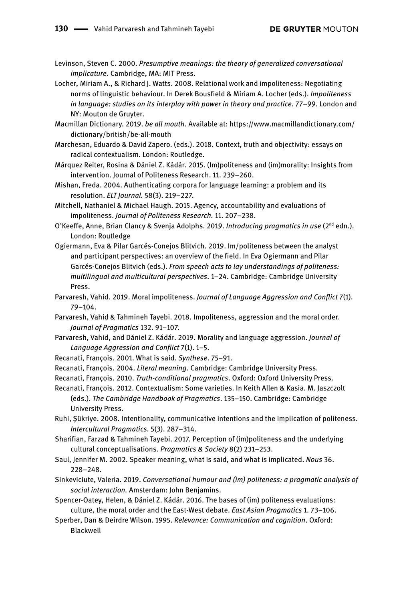Levinson, Steven C. 2000. *Presumptive meanings: the theory of generalized conversational implicature*. Cambridge, MA: MIT Press.

Locher, Miriam A., & Richard J. Watts. 2008. Relational work and impoliteness: Negotiating norms of linguistic behaviour. In Derek Bousfield & Miriam A. Locher (eds.). *Impoliteness in language: studies on its interplay with power in theory and practice*. 77–99. London and NY: Mouton de Gruyter.

Macmillan Dictionary. 2019. *be all mouth*. Available at: [https://www.macmillandictionary.com/](https://www.macmillandictionary.com/dictionary/british/be-all-mouth) [dictionary/british/be-all-mouth](https://www.macmillandictionary.com/dictionary/british/be-all-mouth)

Marchesan, Eduardo & David Zapero. (eds.). 2018. Context, truth and objectivity: essays on radical contextualism. London: Routledge.

Márquez Reiter, Rosina & Dániel Z. Kádár. 2015. (Im)politeness and (im)morality: Insights from intervention. Journal of Politeness Research. 11. 239–260.

Mishan, Freda. 2004. Authenticating corpora for language learning: a problem and its resolution. *ELT Journal.* 58(3). 219–227.

Mitchell, Nathaniel & Michael Haugh. 2015. Agency, accountability and evaluations of impoliteness. *Journal of Politeness Research.* 11. 207–238.

- O'Keeffe, Anne, Brian Clancy & Svenja Adolphs. 2019. *Introducing pragmatics in use* (2<sup>nd</sup> edn.). London: Routledge
- Ogiermann, Eva & Pilar Garcés-Conejos Blitvich. 2019. Im/politeness between the analyst and participant perspectives: an overview of the field. In Eva Ogiermann and Pilar Garcés-Conejos Blitvich (eds.). *From speech acts to lay understandings of politeness: multilingual and multicultural perspectives*. 1–24. Cambridge: Cambridge University Press.
- Parvaresh, Vahid. 2019. Moral impoliteness. *Journal of Language Aggression and Conflict* 7(1). 79–104.
- Parvaresh, Vahid & Tahmineh Tayebi. 2018. Impoliteness, aggression and the moral order. *Journal of Pragmatics* 132. 91–107.
- Parvaresh, Vahid, and Dániel Z. Kádár. 2019. Morality and language aggression. *Journal of Language Aggression and Conflict* 7(1). 1–5.
- Recanati, François. 2001. What is said. *Synthese*. 75–91.
- Recanati, François. 2004. *Literal meaning*. Cambridge: Cambridge University Press.
- Recanati, François. 2010. *Truth-conditional pragmatics*. Oxford: Oxford University Press.

Recanati, François. 2012. Contextualism: Some varieties. In Keith Allen & Kasia. M. Jaszczolt (eds.). *The Cambridge Handbook of Pragmatics*. 135–150. Cambridge: Cambridge University Press.

- Ruhi, Şükriye. 2008. Intentionality, communicative intentions and the implication of politeness. *Intercultural Pragmatics.* 5(3). 287–314.
- Sharifian, Farzad & Tahmineh Tayebi. 2017. Perception of (im)politeness and the underlying cultural conceptualisations. *Pragmatics & Society* 8(2) 231–253.
- Saul, Jennifer M. 2002. Speaker meaning, what is said, and what is implicated. *Nous* 36. 228–248.
- Sinkeviciute, Valeria. 2019. *Conversational humour and (im) politeness: a pragmatic analysis of social interaction.* Amsterdam: John Benjamins.
- Spencer-Oatey, Helen, & Dániel Z. Kádár. 2016. The bases of (im) politeness evaluations: culture, the moral order and the East-West debate. *East Asian Pragmatics* 1. 73–106.
- Sperber, Dan & Deirdre Wilson. 1995. *Relevance: Communication and cognition*. Oxford: Blackwell